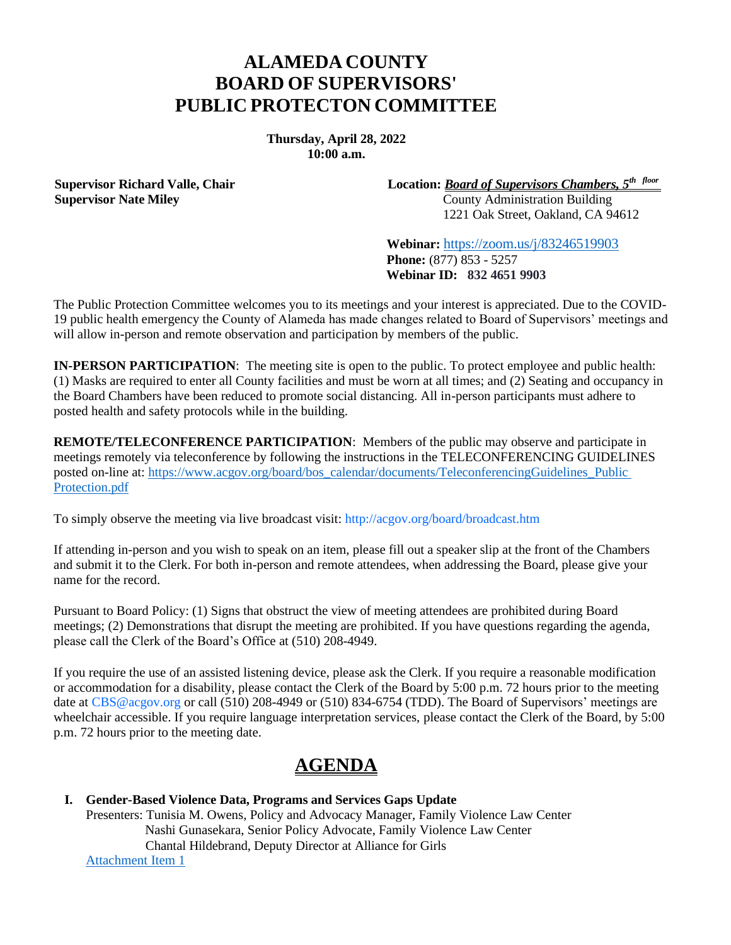## **ALAMEDA COUNTY BOARD OF SUPERVISORS' PUBLIC PROTECTON COMMITTEE**

**Thursday, April 28, 2022 10:00 a.m.**

**Supervisor Richard Valle, Chair Supervisor Nate Miley**

**Location:** *Board of Supervisors Chambers, 5 th floor* County Administration Building

1221 Oak Street, Oakland, CA 94612

**Webinar:** https://zoom.us/j/83246519903 **Phone:** (877) 853 - 5257 **Webinar ID: 832 4651 9903**

The Public Protection Committee welcomes you to its meetings and your interest is appreciated. Due to the COVID-19 public health emergency the County of Alameda has made changes related to Board of Supervisors' meetings and will allow in-person and remote observation and participation by members of the public.

**IN-PERSON PARTICIPATION**: The meeting site is open to the public. To protect employee and public health: (1) Masks are required to enter all County facilities and must be worn at all times; and (2) Seating and occupancy in the Board Chambers have been reduced to promote social distancing. All in-person participants must adhere to posted health and safety protocols while in the building.

**REMOTE/TELECONFERENCE PARTICIPATION**: Members of the public may observe and participate in meetings remotely via teleconference by following the instructions in the TELECONFERENCING GUIDELINES posted on-line at: [https://www.acgov.org/board/bos\\_calendar/documents/TeleconferencingGuidelines\\_Public](http://www.acgov.org/board/bos_calendar/documents/DocsAgendaReg_4_28_22/PUBLIC%20PROTECTION/Regular%20Calendar/TeleconferencingGuidelines_PPC_4_28_22I.pdf) [Protection.pdf](http://www.acgov.org/board/bos_calendar/documents/DocsAgendaReg_4_28_22/PUBLIC%20PROTECTION/Regular%20Calendar/TeleconferencingGuidelines_PPC_4_28_22I.pdf)

To simply observe the meeting via live broadcast visit: http://acgov.org/board/broadcast.htm

If attending in-person and you wish to speak on an item, please fill out a speaker slip at the front of the Chambers and submit it to the Clerk. For both in-person and remote attendees, when addressing the Board, please give your name for the record.

Pursuant to Board Policy: (1) Signs that obstruct the view of meeting attendees are prohibited during Board meetings; (2) Demonstrations that disrupt the meeting are prohibited. If you have questions regarding the agenda, please call the Clerk of the Board's Office at (510) 208-4949.

If you require the use of an assisted listening device, please ask the Clerk. If you require a reasonable modification or accommodation for a disability, please contact the Clerk of the Board by 5:00 p.m. 72 hours prior to the meeting date at CBS@acgov.org or call (510) 208-4949 or (510) 834-6754 (TDD). The Board of Supervisors' meetings are wheelchair accessible. If you require language interpretation services, please contact the Clerk of the Board, by 5:00 p.m. 72 hours prior to the meeting date.

## **AGENDA**

**I. Gender-Based Violence Data, Programs and Services Gaps Update**

Presenters: Tunisia M. Owens, Policy and Advocacy Manager, Family Violence Law Center Nashi Gunasekara, Senior Policy Advocate, Family Violence Law Center Chantal Hildebrand, Deputy Director at Alliance for Girls [Attachment Item 1](http://www.acgov.org/board/bos_calendar/documents/DocsAgendaReg_4_28_22/GENERAL%20ADMINISTRATION/Regular%20Calendar/Item_1_gbv_4_28_22.pdf)